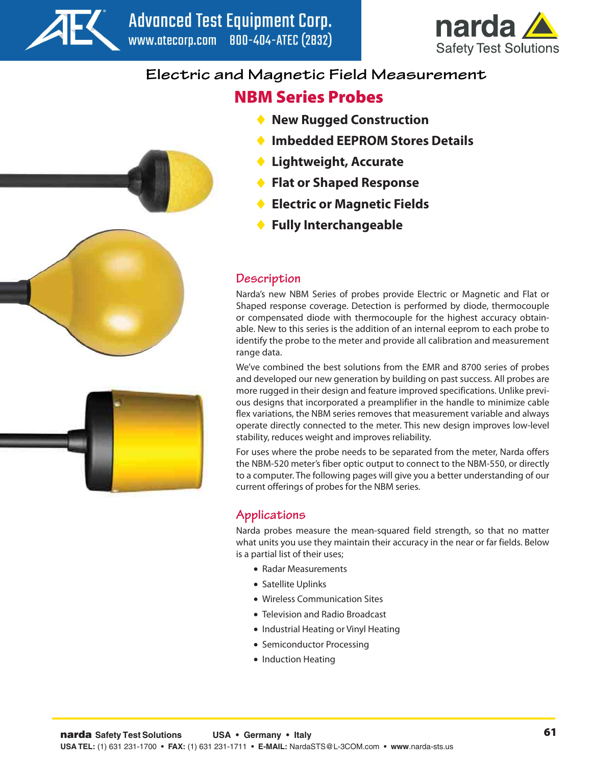



# **Electric and Magnetic Field Measurement**

# **NBM Series Probes**

- **New Rugged Construction** ♦
- **Imbedded EEPROM Stores Details** ♦
- **Lightweight, Accurate** ♦
- **Flat or Shaped Response** ♦
- **Electric or Magnetic Fields** ♦
- **Fully Interchangeable** ♦

## **Description**

Narda's new NBM Series of probes provide Electric or Magnetic and Flat or Shaped response coverage. Detection is performed by diode, thermocouple or compensated diode with thermocouple for the highest accuracy obtainable. New to this series is the addition of an internal eeprom to each probe to identify the probe to the meter and provide all calibration and measurement range data.

We've combined the best solutions from the EMR and 8700 series of probes and developed our new generation by building on past success. All probes are more rugged in their design and feature improved specifications. Unlike previous designs that incorporated a preamplifier in the handle to minimize cable flex variations, the NBM series removes that measurement variable and always operate directly connected to the meter. This new design improves low-level stability, reduces weight and improves reliability.

For uses where the probe needs to be separated from the meter, Narda offers the NBM-520 meter's fiber optic output to connect to the NBM-550, or directly to a computer. The following pages will give you a better understanding of our current offerings of probes for the NBM series.

# **Applications**

Narda probes measure the mean-squared field strength, so that no matter what units you use they maintain their accuracy in the near or far fields. Below is a partial list of their uses;

- Radar Measurements
- Satellite Uplinks
- Wireless Communication Sites •
- Television and Radio Broadcast •
- Industrial Heating or Vinyl Heating
- Semiconductor Processing
- Induction Heating



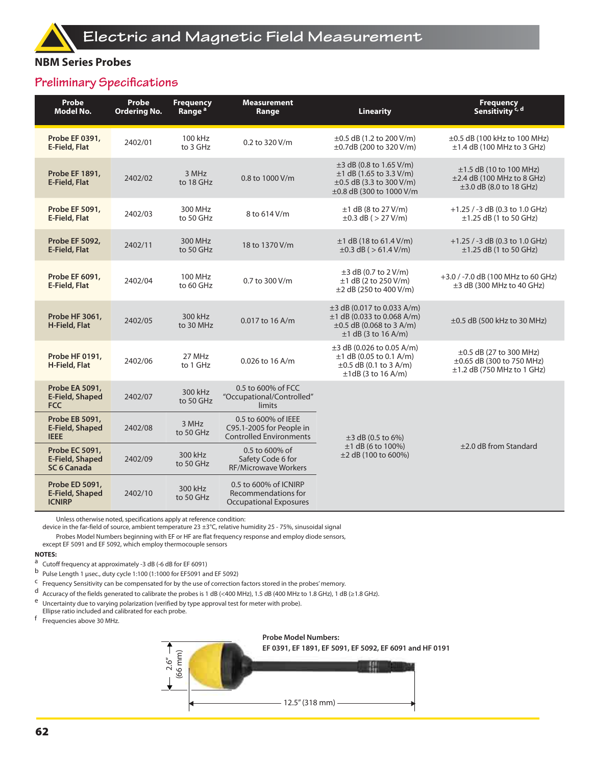### **NBM Series Probes**

## **Preliminary Specifications**

| Probe<br><b>Model No.</b>                                      | Probe<br><b>Ordering No.</b>                                                                                     | <b>Frequency</b><br>Range <sup>a</sup>                                                     | <b>Measurement</b><br>Range                                                       | <b>Linearity</b>                                                                                                             | <b>Frequency</b><br>Sensitivity <sup>c, d</sup>                                              |  |
|----------------------------------------------------------------|------------------------------------------------------------------------------------------------------------------|--------------------------------------------------------------------------------------------|-----------------------------------------------------------------------------------|------------------------------------------------------------------------------------------------------------------------------|----------------------------------------------------------------------------------------------|--|
| Probe EF 0391,<br>E-Field, Flat                                | 2402/01                                                                                                          | 100 kHz<br>to 3 GHz                                                                        | 0.2 to 320 V/m                                                                    | $\pm 0.5$ dB (1.2 to 200 V/m)<br>±0.7dB (200 to 320 V/m)                                                                     | ±0.5 dB (100 kHz to 100 MHz)<br>$\pm$ 1.4 dB (100 MHz to 3 GHz)                              |  |
| <b>Probe EF 1891,</b><br>E-Field, Flat                         | 2402/02                                                                                                          | 3 MHz<br>to 18 GHz                                                                         | 0.8 to 1000 V/m                                                                   | $\pm$ 3 dB (0.8 to 1.65 V/m)<br>$±1$ dB (1.65 to 3.3 V/m)<br>$\pm 0.5$ dB (3.3 to 300 V/m)<br>±0.8 dB (300 to 1000 V/m       | $\pm 1.5$ dB (10 to 100 MHz)<br>$\pm$ 2.4 dB (100 MHz to 8 GHz)<br>±3.0 dB (8.0 to 18 GHz)   |  |
| <b>Probe EF 5091,</b><br>E-Field, Flat                         | 2402/03                                                                                                          | 300 MHz<br>to 50 GHz                                                                       | 8 to 614 V/m                                                                      | $±1$ dB (8 to 27 V/m)<br>$\pm 0.3$ dB ( $> 27$ V/m)                                                                          | +1.25 / -3 dB (0.3 to 1.0 GHz)<br>$\pm$ 1.25 dB (1 to 50 GHz)                                |  |
| <b>Probe EF 5092,</b><br><b>E-Field, Flat</b>                  | 2402/11                                                                                                          | 300 MHz<br>to 50 GHz                                                                       | 18 to 1370 V/m                                                                    | $±1$ dB (18 to 61.4 V/m)<br>$\pm 0.3$ dB ( $> 61.4$ V/m)                                                                     | +1.25 / -3 dB (0.3 to 1.0 GHz)<br>$\pm$ 1.25 dB (1 to 50 GHz)                                |  |
| Probe EF 6091,<br>E-Field, Flat                                | 2402/04                                                                                                          | 100 MHz<br>to 60 GHz                                                                       | 0.7 to 300 V/m                                                                    | $\pm 3$ dB (0.7 to 2 V/m)<br>$±1$ dB (2 to 250 V/m)<br>±2 dB (250 to 400 V/m)                                                | +3.0 / -7.0 dB (100 MHz to 60 GHz)<br>$\pm$ 3 dB (300 MHz to 40 GHz)                         |  |
| Probe HF 3061,<br>H-Field, Flat                                | 2402/05                                                                                                          | 300 kHz<br>to 30 MHz                                                                       | $0.017$ to 16 A/m                                                                 | $\pm$ 3 dB (0.017 to 0.033 A/m)<br>$\pm$ 1 dB (0.033 to 0.068 A/m)<br>$\pm 0.5$ dB (0.068 to 3 A/m)<br>$±1$ dB (3 to 16 A/m) | ±0.5 dB (500 kHz to 30 MHz)                                                                  |  |
| <b>Probe HF 0191.</b><br>H-Field, Flat                         | 2402/06                                                                                                          | 27 MHz<br>to 1 GHz                                                                         | $0.026$ to 16 A/m                                                                 | $\pm$ 3 dB (0.026 to 0.05 A/m)<br>$±1$ dB (0.05 to 0.1 A/m)<br>$\pm 0.5$ dB (0.1 to 3 A/m)<br>$\pm 1$ dB (3 to 16 A/m)       | $\pm 0.5$ dB (27 to 300 MHz)<br>±0.65 dB (300 to 750 MHz)<br>$\pm$ 1.2 dB (750 MHz to 1 GHz) |  |
| Probe EA 5091,<br>E-Field, Shaped<br><b>FCC</b>                | 2402/07                                                                                                          | 300 kHz<br>to 50 GHz                                                                       | 0.5 to 600% of FCC<br>"Occupational/Controlled"<br>limits                         |                                                                                                                              |                                                                                              |  |
| Probe EB 5091,<br><b>E-Field, Shaped</b><br><b>IEEE</b>        | 2402/08                                                                                                          | 3 MHz<br>to 50 GHz                                                                         | 0.5 to 600% of IEEE<br>C95.1-2005 for People in<br><b>Controlled Environments</b> | $\pm$ 3 dB (0.5 to 6%)                                                                                                       |                                                                                              |  |
| Probe EC 5091,<br><b>E-Field, Shaped</b><br><b>SC 6 Canada</b> | 2402/09                                                                                                          | 0.5 to 600% of<br>300 kHz<br>Safety Code 6 for<br>to 50 GHz<br><b>RF/Microwave Workers</b> |                                                                                   | $±1$ dB (6 to 100%)<br>±2 dB (100 to 600%)                                                                                   | ±2.0 dB from Standard                                                                        |  |
| Probe ED 5091,<br><b>E-Field, Shaped</b><br><b>ICNIRP</b>      | 0.5 to 600% of ICNIRP<br>300 kHz<br>2402/10<br>Recommendations for<br>to 50 GHz<br><b>Occupational Exposures</b> |                                                                                            |                                                                                   |                                                                                                                              |                                                                                              |  |

Unless otherwise noted, specifications apply at reference condition:

device in the far-field of source, ambient temperature 23 ±3°C, relative humidity 25 - 75%, sinusoidal signal

Probes Model Numbers beginning with EF or HF are flat frequency response and employ diode sensors, except EF 5091 and EF 5092, which employ thermocouple sensors

#### **NOTES:**

- a Cutoff frequency at approximately -3 dB (-6 dB for EF 6091)
- b Pulse Length 1 μsec., duty cycle 1:100 (1:1000 for EF5091 and EF 5092)
- $\frac{c}{c}$  Frequency Sensitivity can be compensated for by the use of correction factors stored in the probes' memory.
- d Accuracy of the fields generated to calibrate the probes is 1 dB (<400 MHz), 1.5 dB (400 MHz to 1.8 GHz), 1 dB (≥1.8 GHz).
- e Uncertainty due to varying polarization (verified by type approval test for meter with probe).
- Ellipse ratio included and calibrated for each probe.
- f Frequencies above 30 MHz.

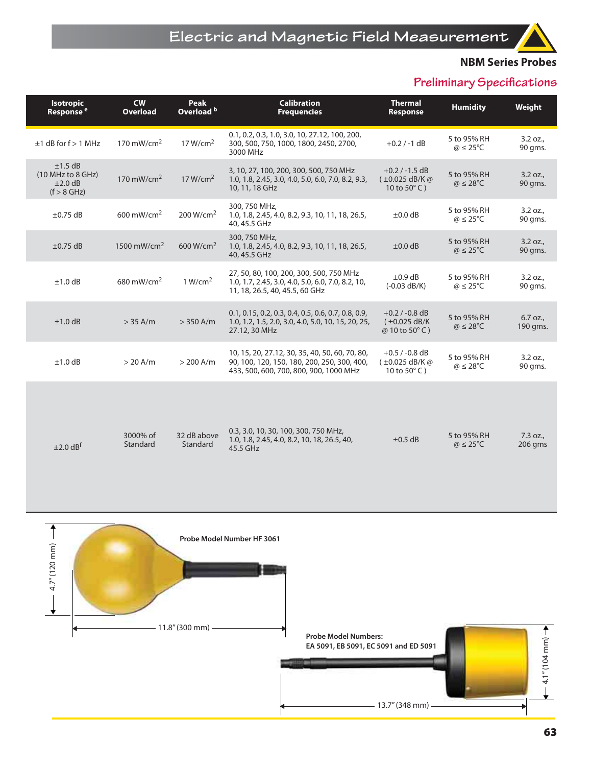### **NBM Series Probes**

# **Preliminary Specifications**

| <b>Isotropic</b><br>Response <sup>e</sup>                       | cw<br><b>Overload</b>   | <b>Peak</b><br>Overload b | <b>Calibration</b><br><b>Frequencies</b>                                                                                                | <b>Thermal</b><br>Response                                                     | <b>Humidity</b>                          | Weight                 |
|-----------------------------------------------------------------|-------------------------|---------------------------|-----------------------------------------------------------------------------------------------------------------------------------------|--------------------------------------------------------------------------------|------------------------------------------|------------------------|
| $±1$ dB for f $> 1$ MHz                                         | 170 mW/cm <sup>2</sup>  | 17 W/cm <sup>2</sup>      | 0.1, 0.2, 0.3, 1.0, 3.0, 10, 27.12, 100, 200,<br>300, 500, 750, 1000, 1800, 2450, 2700,<br>3000 MHz                                     | $+0.2 / -1$ dB                                                                 | 5 to 95% RH<br>$\omega \leq 25^{\circ}C$ | 3.2 oz.,<br>90 qms.    |
| $±1.5$ dB<br>(10 MHz to 8 GHz)<br>$\pm 2.0$ dB<br>$(f > 8$ GHz) | 170 mW/cm <sup>2</sup>  | 17 W/cm <sup>2</sup>      | 3, 10, 27, 100, 200, 300, 500, 750 MHz<br>1.0, 1.8, 2.45, 3.0, 4.0, 5.0, 6.0, 7.0, 8.2, 9.3,<br>10, 11, 18 GHz                          | $+0.2 / -1.5$ dB<br>$(±0.025$ dB/K @<br>10 to $50^{\circ}$ C)                  | 5 to 95% RH<br>$\omega \leq 28^{\circ}C$ | 3.2 oz.,<br>90 gms.    |
| $\pm 0.75$ dB                                                   | $600 \text{ mW/cm}^2$   | 200 W/cm <sup>2</sup>     | 300, 750 MHz,<br>1.0, 1.8, 2.45, 4.0, 8.2, 9.3, 10, 11, 18, 26.5,<br>40, 45.5 GHz                                                       | $\pm 0.0$ dB                                                                   | 5 to 95% RH<br>$\omega \leq 25^{\circ}C$ | 3.2 oz.,<br>90 qms.    |
| $\pm 0.75$ dB                                                   | 1500 mW/cm <sup>2</sup> | 600 W/cm <sup>2</sup>     | 300, 750 MHz,<br>1.0, 1.8, 2.45, 4.0, 8.2, 9.3, 10, 11, 18, 26.5,<br>40, 45.5 GHz                                                       | $\pm 0.0$ dB                                                                   | 5 to 95% RH<br>$\omega \leq 25^{\circ}C$ | 3.2 oz.,<br>90 gms.    |
| $±1.0$ dB                                                       | 680 mW/cm <sup>2</sup>  | 1 W/cm <sup>2</sup>       | 27, 50, 80, 100, 200, 300, 500, 750 MHz<br>1.0, 1.7, 2.45, 3.0, 4.0, 5.0, 6.0, 7.0, 8.2, 10,<br>11, 18, 26.5, 40, 45.5, 60 GHz          | $\pm 0.9$ dB<br>$(-0.03$ dB/K)                                                 | 5 to 95% RH<br>$\omega \leq 25^{\circ}C$ | 3.2 oz.,<br>90 qms.    |
| $±1.0$ dB                                                       | $> 35$ A/m              | $>$ 350 A/m               | 0.1, 0.15, 0.2, 0.3, 0.4, 0.5, 0.6, 0.7, 0.8, 0.9,<br>1.0, 1.2, 1.5, 2.0, 3.0, 4.0, 5.0, 10, 15, 20, 25,<br>27.12, 30 MHz               | $+0.2 / -0.8$ dB<br>$(\pm 0.025$ dB/K<br>@ 10 to 50°C)                         | 5 to 95% RH<br>$\omega \leq 28^{\circ}C$ | $6.7$ oz.,<br>190 qms. |
| $\pm 1.0$ dB                                                    | $> 20$ A/m              | $> 200$ A/m               | 10, 15, 20, 27.12, 30, 35, 40, 50, 60, 70, 80,<br>90, 100, 120, 150, 180, 200, 250, 300, 400,<br>433, 500, 600, 700, 800, 900, 1000 MHz | $+0.5 / -0.8$ dB<br>$(\pm 0.025 \text{ dB/K} \omega)$<br>10 to $50^{\circ}$ C) | 5 to 95% RH<br>$\omega \leq 28^{\circ}C$ | 3.2 oz.,<br>90 gms.    |
|                                                                 |                         |                           |                                                                                                                                         |                                                                                |                                          |                        |
| $\pm 2.0$ dB <sup>t</sup>                                       | 3000% of<br>Standard    | 32 dB above<br>Standard   | 0.3, 3.0, 10, 30, 100, 300, 750 MHz,<br>1.0, 1.8, 2.45, 4.0, 8.2, 10, 18, 26.5, 40,<br>45.5 GHz                                         | $\pm 0.5$ dB                                                                   | 5 to 95% RH<br>$\omega \leq 25^{\circ}C$ | 7.3 oz.,<br>206 gms    |